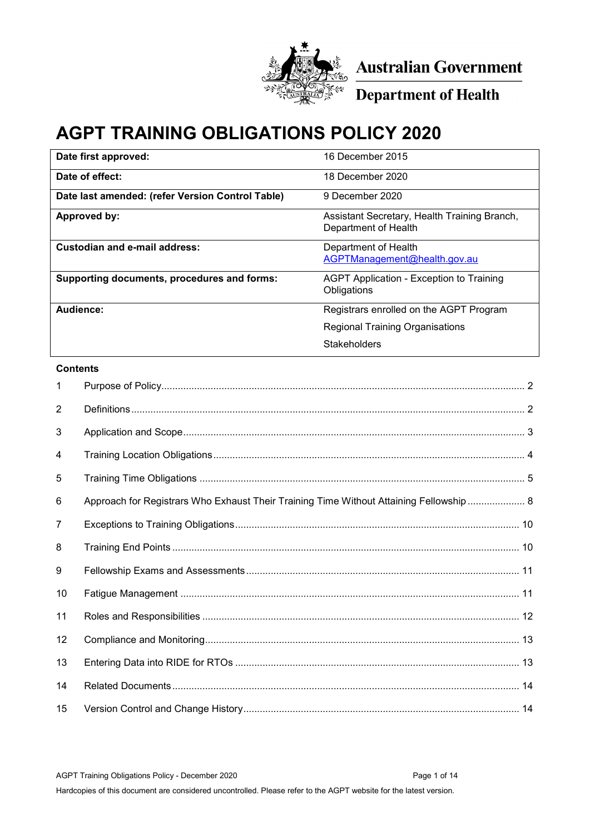

**Australian Government<br>Department of Health** 

# **AGPT TRAINING OBLIGATIONS POLICY 2020**

| Date first approved:                             | 16 December 2015                                                     |
|--------------------------------------------------|----------------------------------------------------------------------|
| Date of effect:                                  | 18 December 2020                                                     |
| Date last amended: (refer Version Control Table) | 9 December 2020                                                      |
| Approved by:                                     | Assistant Secretary, Health Training Branch,<br>Department of Health |
| Custodian and e-mail address:                    | Department of Health<br>AGPTManagement@health.gov.au                 |
| Supporting documents, procedures and forms:      | <b>AGPT Application - Exception to Training</b><br>Obligations       |
| Audience:                                        | Registrars enrolled on the AGPT Program                              |
|                                                  | <b>Regional Training Organisations</b>                               |
|                                                  | Stakeholders                                                         |

### **Contents**

| 1              |                                                                                         |
|----------------|-----------------------------------------------------------------------------------------|
| $\overline{2}$ |                                                                                         |
| 3              |                                                                                         |
| 4              |                                                                                         |
| 5              |                                                                                         |
| 6              | Approach for Registrars Who Exhaust Their Training Time Without Attaining Fellowship  8 |
| 7              |                                                                                         |
| 8              |                                                                                         |
| 9              |                                                                                         |
| 10             |                                                                                         |
| 11             |                                                                                         |
| 12             |                                                                                         |
| 13             |                                                                                         |
| 14             |                                                                                         |
| 15             |                                                                                         |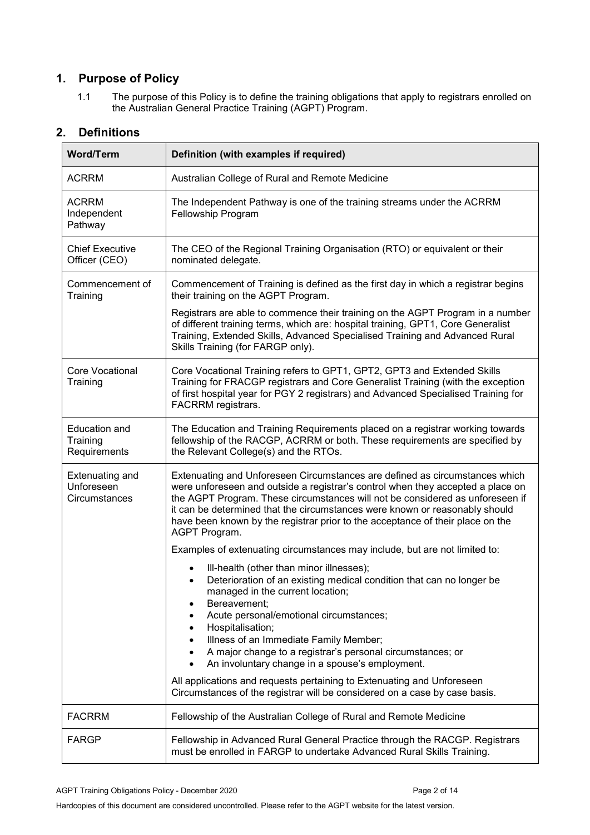# **1. Purpose of Policy**

<span id="page-1-0"></span>1.1 The purpose of this Policy is to define the training obligations that apply to registrars enrolled on the Australian General Practice Training (AGPT) Program.

| <b>Word/Term</b>                                      | Definition (with examples if required)                                                                                                                                                                                                                                                                                                                                                                                            |  |
|-------------------------------------------------------|-----------------------------------------------------------------------------------------------------------------------------------------------------------------------------------------------------------------------------------------------------------------------------------------------------------------------------------------------------------------------------------------------------------------------------------|--|
| <b>ACRRM</b>                                          | Australian College of Rural and Remote Medicine                                                                                                                                                                                                                                                                                                                                                                                   |  |
| <b>ACRRM</b><br>Independent<br>Pathway                | The Independent Pathway is one of the training streams under the ACRRM<br>Fellowship Program                                                                                                                                                                                                                                                                                                                                      |  |
| <b>Chief Executive</b><br>Officer (CEO)               | The CEO of the Regional Training Organisation (RTO) or equivalent or their<br>nominated delegate.                                                                                                                                                                                                                                                                                                                                 |  |
| Commencement of<br>Training                           | Commencement of Training is defined as the first day in which a registrar begins<br>their training on the AGPT Program.                                                                                                                                                                                                                                                                                                           |  |
|                                                       | Registrars are able to commence their training on the AGPT Program in a number<br>of different training terms, which are: hospital training, GPT1, Core Generalist<br>Training, Extended Skills, Advanced Specialised Training and Advanced Rural<br>Skills Training (for FARGP only).                                                                                                                                            |  |
| <b>Core Vocational</b><br>Training                    | Core Vocational Training refers to GPT1, GPT2, GPT3 and Extended Skills<br>Training for FRACGP registrars and Core Generalist Training (with the exception<br>of first hospital year for PGY 2 registrars) and Advanced Specialised Training for<br>FACRRM registrars.                                                                                                                                                            |  |
| <b>Education and</b><br>Training<br>Requirements      | The Education and Training Requirements placed on a registrar working towards<br>fellowship of the RACGP, ACRRM or both. These requirements are specified by<br>the Relevant College(s) and the RTOs.                                                                                                                                                                                                                             |  |
| <b>Extenuating and</b><br>Unforeseen<br>Circumstances | Extenuating and Unforeseen Circumstances are defined as circumstances which<br>were unforeseen and outside a registrar's control when they accepted a place on<br>the AGPT Program. These circumstances will not be considered as unforeseen if<br>it can be determined that the circumstances were known or reasonably should<br>have been known by the registrar prior to the acceptance of their place on the<br>AGPT Program. |  |
|                                                       | Examples of extenuating circumstances may include, but are not limited to:                                                                                                                                                                                                                                                                                                                                                        |  |
|                                                       | III-health (other than minor illnesses);<br>Deterioration of an existing medical condition that can no longer be<br>$\bullet$<br>managed in the current location;<br>Bereavement;<br>Acute personal/emotional circumstances;                                                                                                                                                                                                      |  |
|                                                       | Hospitalisation;<br>Illness of an Immediate Family Member;<br>A major change to a registrar's personal circumstances; or                                                                                                                                                                                                                                                                                                          |  |
|                                                       | An involuntary change in a spouse's employment.                                                                                                                                                                                                                                                                                                                                                                                   |  |
|                                                       | All applications and requests pertaining to Extenuating and Unforeseen<br>Circumstances of the registrar will be considered on a case by case basis.                                                                                                                                                                                                                                                                              |  |
| <b>FACRRM</b>                                         | Fellowship of the Australian College of Rural and Remote Medicine                                                                                                                                                                                                                                                                                                                                                                 |  |
| FARGP                                                 | Fellowship in Advanced Rural General Practice through the RACGP. Registrars<br>must be enrolled in FARGP to undertake Advanced Rural Skills Training.                                                                                                                                                                                                                                                                             |  |

# <span id="page-1-1"></span>**2. Definitions**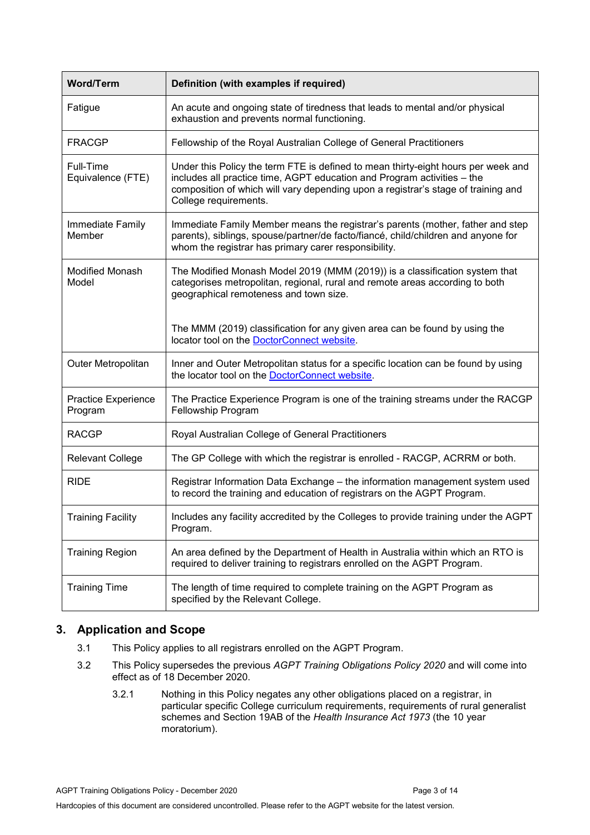| <b>Word/Term</b>                | Definition (with examples if required)                                                                                                                                                                                                                                     |
|---------------------------------|----------------------------------------------------------------------------------------------------------------------------------------------------------------------------------------------------------------------------------------------------------------------------|
| Fatigue                         | An acute and ongoing state of tiredness that leads to mental and/or physical<br>exhaustion and prevents normal functioning.                                                                                                                                                |
| <b>FRACGP</b>                   | Fellowship of the Royal Australian College of General Practitioners                                                                                                                                                                                                        |
| Full-Time<br>Equivalence (FTE)  | Under this Policy the term FTE is defined to mean thirty-eight hours per week and<br>includes all practice time, AGPT education and Program activities - the<br>composition of which will vary depending upon a registrar's stage of training and<br>College requirements. |
| Immediate Family<br>Member      | Immediate Family Member means the registrar's parents (mother, father and step<br>parents), siblings, spouse/partner/de facto/fiancé, child/children and anyone for<br>whom the registrar has primary carer responsibility.                                                |
| <b>Modified Monash</b><br>Model | The Modified Monash Model 2019 (MMM (2019)) is a classification system that<br>categorises metropolitan, regional, rural and remote areas according to both<br>geographical remoteness and town size.                                                                      |
|                                 | The MMM (2019) classification for any given area can be found by using the<br>locator tool on the DoctorConnect website.                                                                                                                                                   |
| Outer Metropolitan              | Inner and Outer Metropolitan status for a specific location can be found by using<br>the locator tool on the DoctorConnect website.                                                                                                                                        |
| Practice Experience<br>Program  | The Practice Experience Program is one of the training streams under the RACGP<br>Fellowship Program                                                                                                                                                                       |
| RACGP                           | Royal Australian College of General Practitioners                                                                                                                                                                                                                          |
| <b>Relevant College</b>         | The GP College with which the registrar is enrolled - RACGP, ACRRM or both.                                                                                                                                                                                                |
| <b>RIDE</b>                     | Registrar Information Data Exchange - the information management system used<br>to record the training and education of registrars on the AGPT Program.                                                                                                                    |
| <b>Training Facility</b>        | Includes any facility accredited by the Colleges to provide training under the AGPT<br>Program.                                                                                                                                                                            |
| <b>Training Region</b>          | An area defined by the Department of Health in Australia within which an RTO is<br>required to deliver training to registrars enrolled on the AGPT Program.                                                                                                                |
| <b>Training Time</b>            | The length of time required to complete training on the AGPT Program as<br>specified by the Relevant College.                                                                                                                                                              |

# <span id="page-2-0"></span>**3. Application and Scope**

- 3.1 This Policy applies to all registrars enrolled on the AGPT Program.
- 3.2 This Policy supersedes the previous *AGPT Training Obligations Policy 2020* and will come into effect as of 18 December 2020.
	- 3.2.1 Nothing in this Policy negates any other obligations placed on a registrar, in particular specific College curriculum requirements, requirements of rural generalist schemes and Section 19AB of the *Health Insurance Act 1973* (the 10 year moratorium).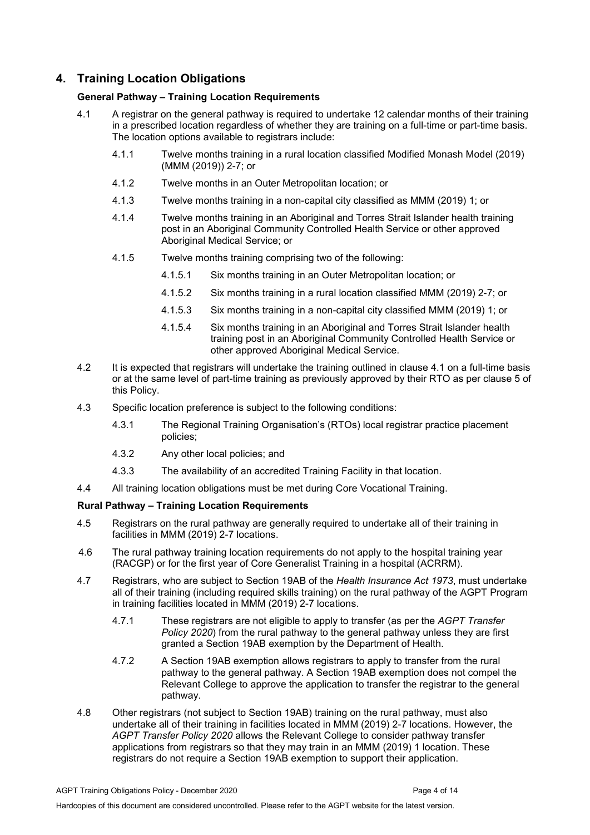# <span id="page-3-0"></span>**4. Training Location Obligations**

### **General Pathway – Training Location Requirements**

- 4.1 A registrar on the general pathway is required to undertake 12 calendar months of their training in a prescribed location regardless of whether they are training on a full-time or part-time basis. The location options available to registrars include:
	- 4.1.1 Twelve months training in a rural location classified Modified Monash Model (2019) (MMM (2019)) 2-7; or
	- 4.1.2 Twelve months in an Outer Metropolitan location; or
	- 4.1.3 Twelve months training in a non-capital city classified as MMM (2019) 1; or
	- 4.1.4 Twelve months training in an Aboriginal and Torres Strait Islander health training post in an Aboriginal Community Controlled Health Service or other approved Aboriginal Medical Service; or
	- 4.1.5 Twelve months training comprising two of the following:
		- 4.1.5.1 Six months training in an Outer Metropolitan location; or
		- 4.1.5.2 Six months training in a rural location classified MMM (2019) 2-7; or
		- 4.1.5.3 Six months training in a non-capital city classified MMM (2019) 1; or
		- 4.1.5.4 Six months training in an Aboriginal and Torres Strait Islander health training post in an Aboriginal Community Controlled Health Service or other approved Aboriginal Medical Service.
- 4.2 It is expected that registrars will undertake the training outlined in clause 4.1 on a full-time basis or at the same level of part-time training as previously approved by their RTO as per clause 5 of this Policy.
- 4.3 Specific location preference is subject to the following conditions:
	- 4.3.1 The Regional Training Organisation's (RTOs) local registrar practice placement policies;
	- 4.3.2 Any other local policies; and
	- 4.3.3 The availability of an accredited Training Facility in that location.
- 4.4 All training location obligations must be met during Core Vocational Training.

### **Rural Pathway – Training Location Requirements**

- 4.5 Registrars on the rural pathway are generally required to undertake all of their training in facilities in MMM (2019) 2-7 locations.
- 4.6 The rural pathway training location requirements do not apply to the hospital training year (RACGP) or for the first year of Core Generalist Training in a hospital (ACRRM).
- 4.7 Registrars, who are subject to Section 19AB of the *Health Insurance Act 1973*, must undertake all of their training (including required skills training) on the rural pathway of the AGPT Program in training facilities located in MMM (2019) 2-7 locations.
	- 4.7.1 These registrars are not eligible to apply to transfer (as per the *AGPT Transfer Policy 2020*) from the rural pathway to the general pathway unless they are first granted a Section 19AB exemption by the Department of Health.
	- 4.7.2 A Section 19AB exemption allows registrars to apply to transfer from the rural pathway to the general pathway. A Section 19AB exemption does not compel the Relevant College to approve the application to transfer the registrar to the general pathway.
- 4.8 Other registrars (not subject to Section 19AB) training on the rural pathway, must also undertake all of their training in facilities located in MMM (2019) 2-7 locations. However, the *AGPT Transfer Policy 2020* allows the Relevant College to consider pathway transfer applications from registrars so that they may train in an MMM (2019) 1 location. These registrars do not require a Section 19AB exemption to support their application.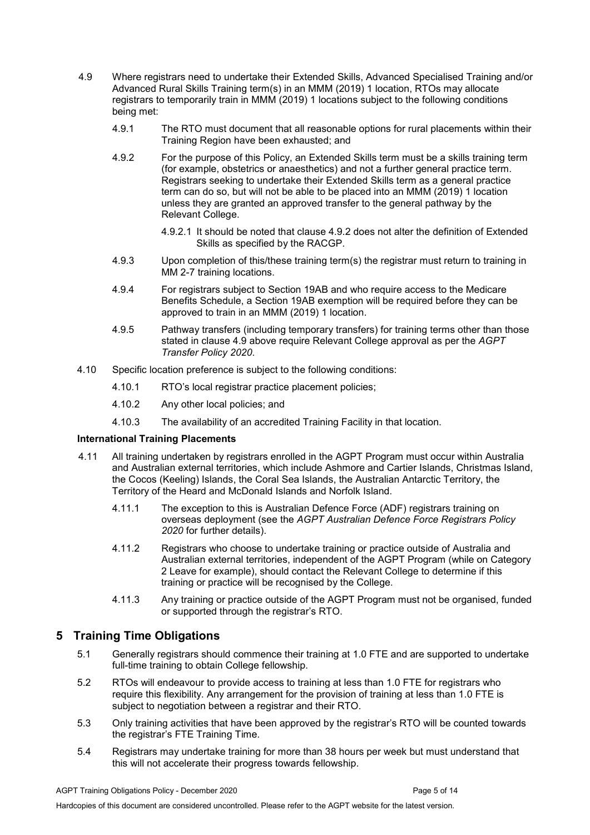- 4.9 Where registrars need to undertake their Extended Skills, Advanced Specialised Training and/or Advanced Rural Skills Training term(s) in an MMM (2019) 1 location, RTOs may allocate registrars to temporarily train in MMM (2019) 1 locations subject to the following conditions being met:
	- 4.9.1 The RTO must document that all reasonable options for rural placements within their Training Region have been exhausted; and
	- 4.9.2 For the purpose of this Policy, an Extended Skills term must be a skills training term (for example, obstetrics or anaesthetics) and not a further general practice term. Registrars seeking to undertake their Extended Skills term as a general practice term can do so, but will not be able to be placed into an MMM (2019) 1 location unless they are granted an approved transfer to the general pathway by the Relevant College.
		- 4.9.2.1 It should be noted that clause 4.9.2 does not alter the definition of Extended Skills as specified by the RACGP.
	- 4.9.3 Upon completion of this/these training term(s) the registrar must return to training in MM 2-7 training locations.
	- 4.9.4 For registrars subject to Section 19AB and who require access to the Medicare Benefits Schedule, a Section 19AB exemption will be required before they can be approved to train in an MMM (2019) 1 location.
	- 4.9.5 Pathway transfers (including temporary transfers) for training terms other than those stated in clause 4.9 above require Relevant College approval as per the *AGPT Transfer Policy 2020*.
- 4.10 Specific location preference is subject to the following conditions:
	- 4.10.1 RTO's local registrar practice placement policies;
	- 4.10.2 Any other local policies; and
	- 4.10.3 The availability of an accredited Training Facility in that location.

#### **International Training Placements**

- 4.11 All training undertaken by registrars enrolled in the AGPT Program must occur within Australia and Australian external territories, which include Ashmore and Cartier Islands, Christmas Island, the Cocos (Keeling) Islands, the Coral Sea Islands, the Australian Antarctic Territory, the Territory of the Heard and McDonald Islands and Norfolk Island.
	- 4.11.1 The exception to this is Australian Defence Force (ADF) registrars training on overseas deployment (see the *AGPT Australian Defence Force Registrars Policy 2020* for further details).
	- 4.11.2 Registrars who choose to undertake training or practice outside of Australia and Australian external territories, independent of the AGPT Program (while on Category 2 Leave for example), should contact the Relevant College to determine if this training or practice will be recognised by the College.
	- 4.11.3 Any training or practice outside of the AGPT Program must not be organised, funded or supported through the registrar's RTO.

## <span id="page-4-0"></span>**5 Training Time Obligations**

- 5.1 Generally registrars should commence their training at 1.0 FTE and are supported to undertake full-time training to obtain College fellowship.
- 5.2 RTOs will endeavour to provide access to training at less than 1.0 FTE for registrars who require this flexibility. Any arrangement for the provision of training at less than 1.0 FTE is subject to negotiation between a registrar and their RTO.
- 5.3 Only training activities that have been approved by the registrar's RTO will be counted towards the registrar's FTE Training Time.
- 5.4 Registrars may undertake training for more than 38 hours per week but must understand that this will not accelerate their progress towards fellowship.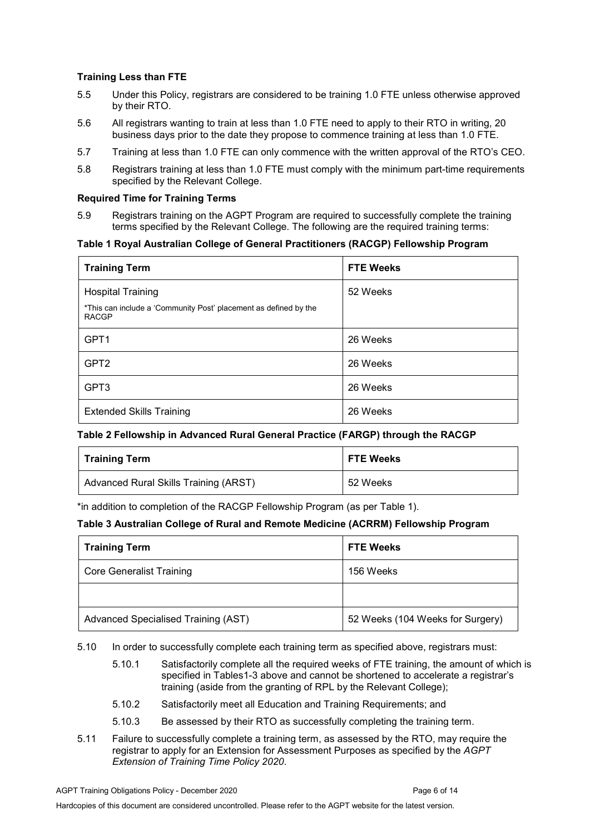### **Training Less than FTE**

- 5.5 Under this Policy, registrars are considered to be training 1.0 FTE unless otherwise approved by their RTO.
- 5.6 All registrars wanting to train at less than 1.0 FTE need to apply to their RTO in writing, 20 business days prior to the date they propose to commence training at less than 1.0 FTE.
- 5.7 Training at less than 1.0 FTE can only commence with the written approval of the RTO's CEO.
- 5.8 Registrars training at less than 1.0 FTE must comply with the minimum part-time requirements specified by the Relevant College.

#### **Required Time for Training Terms**

5.9 Registrars training on the AGPT Program are required to successfully complete the training terms specified by the Relevant College. The following are the required training terms:

#### **Table 1 Royal Australian College of General Practitioners (RACGP) Fellowship Program**

| <b>Training Term</b>                                                                                         | <b>FTE Weeks</b> |
|--------------------------------------------------------------------------------------------------------------|------------------|
| <b>Hospital Training</b><br>*This can include a 'Community Post' placement as defined by the<br><b>RACGP</b> | 52 Weeks         |
| GPT <sub>1</sub>                                                                                             | 26 Weeks         |
| GPT <sub>2</sub>                                                                                             | 26 Weeks         |
| GPT3                                                                                                         | 26 Weeks         |
| <b>Extended Skills Training</b>                                                                              | 26 Weeks         |

#### **Table 2 Fellowship in Advanced Rural General Practice (FARGP) through the RACGP**

| <b>Training Term</b>                  | <b>FTE Weeks</b> |
|---------------------------------------|------------------|
| Advanced Rural Skills Training (ARST) | 52 Weeks         |

\*in addition to completion of the RACGP Fellowship Program (as per Table 1).

#### **Table 3 Australian College of Rural and Remote Medicine (ACRRM) Fellowship Program**

| <b>Training Term</b>                | <b>FTE Weeks</b>                 |
|-------------------------------------|----------------------------------|
| <b>Core Generalist Training</b>     | 156 Weeks                        |
|                                     |                                  |
| Advanced Specialised Training (AST) | 52 Weeks (104 Weeks for Surgery) |

#### 5.10 In order to successfully complete each training term as specified above, registrars must:

- 5.10.1 Satisfactorily complete all the required weeks of FTE training, the amount of which is specified in Tables1-3 above and cannot be shortened to accelerate a registrar's training (aside from the granting of RPL by the Relevant College);
- 5.10.2 Satisfactorily meet all Education and Training Requirements; and
- 5.10.3 Be assessed by their RTO as successfully completing the training term.
- 5.11 Failure to successfully complete a training term, as assessed by the RTO, may require the registrar to apply for an Extension for Assessment Purposes as specified by the *AGPT Extension of Training Time Policy 2020*.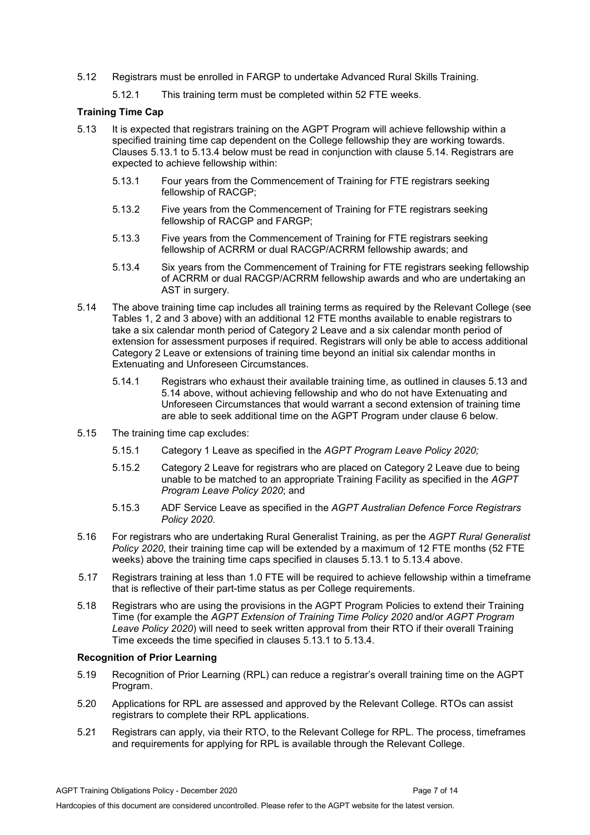- 5.12 Registrars must be enrolled in FARGP to undertake Advanced Rural Skills Training.
	- 5.12.1 This training term must be completed within 52 FTE weeks.

#### **Training Time Cap**

- 5.13 It is expected that registrars training on the AGPT Program will achieve fellowship within a specified training time cap dependent on the College fellowship they are working towards. Clauses 5.13.1 to 5.13.4 below must be read in conjunction with clause 5.14. Registrars are expected to achieve fellowship within:
	- 5.13.1 Four years from the Commencement of Training for FTE registrars seeking fellowship of RACGP;
	- 5.13.2 Five years from the Commencement of Training for FTE registrars seeking fellowship of RACGP and FARGP;
	- 5.13.3 Five years from the Commencement of Training for FTE registrars seeking fellowship of ACRRM or dual RACGP/ACRRM fellowship awards; and
	- 5.13.4 Six years from the Commencement of Training for FTE registrars seeking fellowship of ACRRM or dual RACGP/ACRRM fellowship awards and who are undertaking an AST in surgery.
- 5.14 The above training time cap includes all training terms as required by the Relevant College (see Tables 1, 2 and 3 above) with an additional 12 FTE months available to enable registrars to take a six calendar month period of Category 2 Leave and a six calendar month period of extension for assessment purposes if required. Registrars will only be able to access additional Category 2 Leave or extensions of training time beyond an initial six calendar months in Extenuating and Unforeseen Circumstances.
	- 5.14.1 Registrars who exhaust their available training time, as outlined in clauses 5.13 and 5.14 above, without achieving fellowship and who do not have Extenuating and Unforeseen Circumstances that would warrant a second extension of training time are able to seek additional time on the AGPT Program under clause 6 below.
- 5.15 The training time cap excludes:
	- 5.15.1 Category 1 Leave as specified in the *AGPT Program Leave Policy 2020;*
	- 5.15.2 Category 2 Leave for registrars who are placed on Category 2 Leave due to being unable to be matched to an appropriate Training Facility as specified in the *AGPT Program Leave Policy 2020*; and
	- 5.15.3 ADF Service Leave as specified in the *AGPT Australian Defence Force Registrars Policy 2020*.
- 5.16 For registrars who are undertaking Rural Generalist Training, as per the *AGPT Rural Generalist Policy 2020*, their training time cap will be extended by a maximum of 12 FTE months (52 FTE weeks) above the training time caps specified in clauses 5.13.1 to 5.13.4 above.
- 5.17 Registrars training at less than 1.0 FTE will be required to achieve fellowship within a timeframe that is reflective of their part-time status as per College requirements.
- 5.18 Registrars who are using the provisions in the AGPT Program Policies to extend their Training Time (for example the *AGPT Extension of Training Time Policy 2020* and/or *AGPT Program Leave Policy 2020*) will need to seek written approval from their RTO if their overall Training Time exceeds the time specified in clauses 5.13.1 to 5.13.4.

#### **Recognition of Prior Learning**

- 5.19 Recognition of Prior Learning (RPL) can reduce a registrar's overall training time on the AGPT Program.
- 5.20 Applications for RPL are assessed and approved by the Relevant College. RTOs can assist registrars to complete their RPL applications.
- 5.21 Registrars can apply, via their RTO, to the Relevant College for RPL. The process, timeframes and requirements for applying for RPL is available through the Relevant College.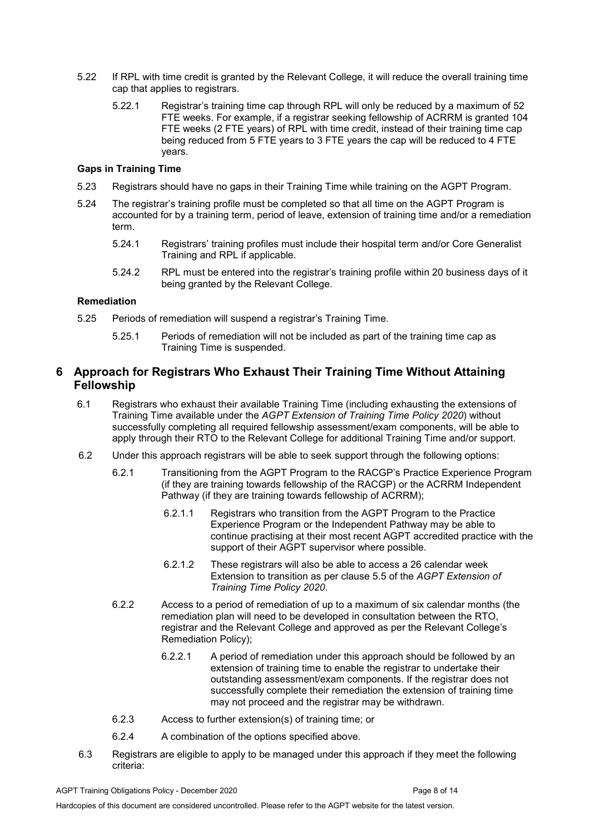- 5.22 If RPL with time credit is granted by the Relevant College, it will reduce the overall training time cap that applies to registrars.
	- 5.22.1 Registrar's training time cap through RPL will only be reduced by a maximum of 52 FTE weeks. For example, if a registrar seeking fellowship of ACRRM is granted 104 FTE weeks (2 FTE years) of RPL with time credit, instead of their training time cap being reduced from 5 FTE years to 3 FTE years the cap will be reduced to 4 FTE years.

#### **Gaps in Training Time**

- 5.23 Registrars should have no gaps in their Training Time while training on the AGPT Program.
- 5.24 The registrar's training profile must be completed so that all time on the AGPT Program is accounted for by a training term, period of leave, extension of training time and/or a remediation term.
	- 5.24.1 Registrars' training profiles must include their hospital term and/or Core Generalist Training and RPL if applicable.
	- 5.24.2 RPL must be entered into the registrar's training profile within 20 business days of it being granted by the Relevant College.

### **Remediation**

- 5.25 Periods of remediation will suspend a registrar's Training Time.
	- 5.25.1 Periods of remediation will not be included as part of the training time cap as Training Time is suspended.

# <span id="page-7-0"></span>**6 Approach for Registrars Who Exhaust Their Training Time Without Attaining Fellowship**

- 6.1 Registrars who exhaust their available Training Time (including exhausting the extensions of Training Time available under the *AGPT Extension of Training Time Policy 2020*) without successfully completing all required fellowship assessment/exam components, will be able to apply through their RTO to the Relevant College for additional Training Time and/or support.
- 6.2 Under this approach registrars will be able to seek support through the following options:
	- 6.2.1 Transitioning from the AGPT Program to the RACGP's Practice Experience Program (if they are training towards fellowship of the RACGP) or the ACRRM Independent Pathway (if they are training towards fellowship of ACRRM);
		- 6.2.1.1 Registrars who transition from the AGPT Program to the Practice Experience Program or the Independent Pathway may be able to continue practising at their most recent AGPT accredited practice with the support of their AGPT supervisor where possible.
		- 6.2.1.2 These registrars will also be able to access a 26 calendar week Extension to transition as per clause 5.5 of the *AGPT Extension of Training Time Policy 2020*.
	- 6.2.2 Access to a period of remediation of up to a maximum of six calendar months (the remediation plan will need to be developed in consultation between the RTO, registrar and the Relevant College and approved as per the Relevant College's Remediation Policy);
		- 6.2.2.1 A period of remediation under this approach should be followed by an extension of training time to enable the registrar to undertake their outstanding assessment/exam components. If the registrar does not successfully complete their remediation the extension of training time may not proceed and the registrar may be withdrawn.
	- 6.2.3 Access to further extension(s) of training time; or
	- 6.2.4 A combination of the options specified above.
- 6.3 Registrars are eligible to apply to be managed under this approach if they meet the following criteria: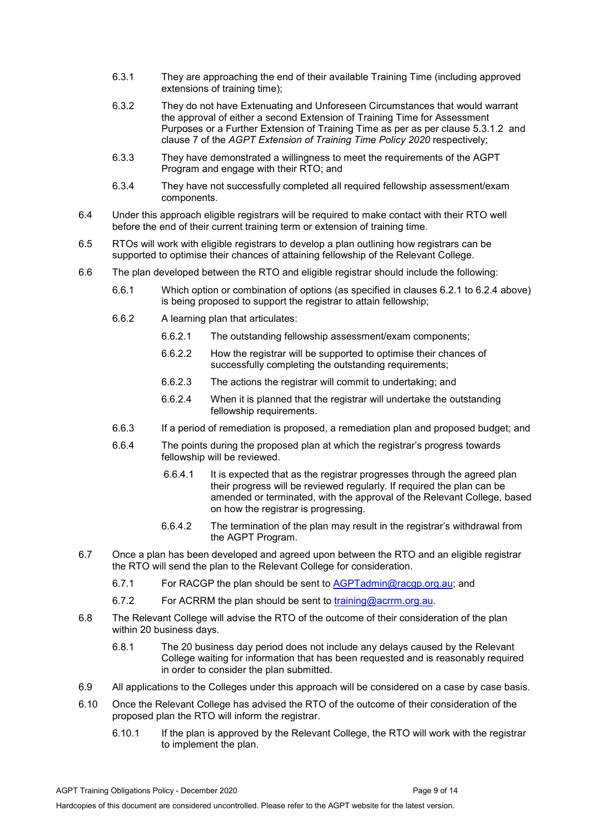- 6.3.1 They are approaching the end of their available Training Time (including approved extensions of training time);
- 6.3.2 They do not have Extenuating and Unforeseen Circumstances that would warrant the approval of either a second Extension of Training Time for Assessment Purposes or a Further Extension of Training Time as per as per clause 5.3.1.2 and clause 7 of the *AGPT Extension of Training Time Policy 2020* respectively;
- 6.3.3 They have demonstrated a willingness to meet the requirements of the AGPT Program and engage with their RTO; and
- 6.3.4 They have not successfully completed all required fellowship assessment/exam components.
- 6.4 Under this approach eligible registrars will be required to make contact with their RTO well before the end of their current training term or extension of training time.
- 6.5 RTOs will work with eligible registrars to develop a plan outlining how registrars can be supported to optimise their chances of attaining fellowship of the Relevant College.
- 6.6 The plan developed between the RTO and eligible registrar should include the following:
	- 6.6.1 Which option or combination of options (as specified in clauses 6.2.1 to 6.2.4 above) is being proposed to support the registrar to attain fellowship;
	- 6.6.2 A learning plan that articulates:
		- 6.6.2.1 The outstanding fellowship assessment/exam components;
		- 6.6.2.2 How the registrar will be supported to optimise their chances of successfully completing the outstanding requirements;
		- 6.6.2.3 The actions the registrar will commit to undertaking; and
		- 6.6.2.4 When it is planned that the registrar will undertake the outstanding fellowship requirements.
	- 6.6.3 If a period of remediation is proposed, a remediation plan and proposed budget; and
	- 6.6.4 The points during the proposed plan at which the registrar's progress towards fellowship will be reviewed.
		- 6.6.4.1 It is expected that as the registrar progresses through the agreed plan their progress will be reviewed regularly. If required the plan can be amended or terminated, with the approval of the Relevant College, based on how the registrar is progressing.
		- 6.6.4.2 The termination of the plan may result in the registrar's withdrawal from the AGPT Program.
- 6.7 Once a plan has been developed and agreed upon between the RTO and an eligible registrar the RTO will send the plan to the Relevant College for consideration.
	- 6.7.1 For RACGP the plan should be sent to [AGPTadmin@racgp.org.au;](mailto:AGPTadmin@racgp.org.au) and
	- 6.7.2 For ACRRM the plan should be sent to [training@acrrm.org.au.](mailto:training@acrrm.org.au)
- 6.8 The Relevant College will advise the RTO of the outcome of their consideration of the plan within 20 business days.
	- 6.8.1 The 20 business day period does not include any delays caused by the Relevant College waiting for information that has been requested and is reasonably required in order to consider the plan submitted.
- 6.9 All applications to the Colleges under this approach will be considered on a case by case basis.
- 6.10 Once the Relevant College has advised the RTO of the outcome of their consideration of the proposed plan the RTO will inform the registrar.
	- 6.10.1 If the plan is approved by the Relevant College, the RTO will work with the registrar to implement the plan.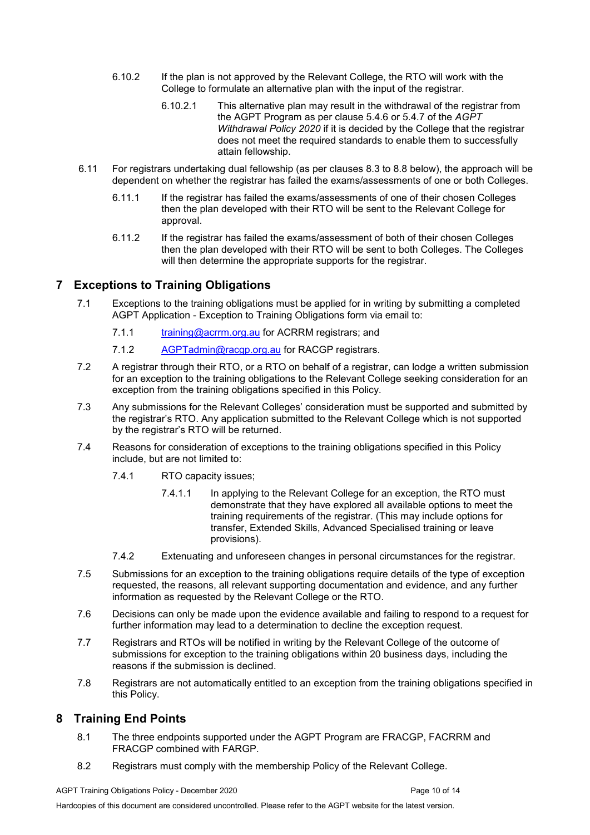- 6.10.2 If the plan is not approved by the Relevant College, the RTO will work with the College to formulate an alternative plan with the input of the registrar.
	- 6.10.2.1 This alternative plan may result in the withdrawal of the registrar from the AGPT Program as per clause 5.4.6 or 5.4.7 of the *AGPT Withdrawal Policy 2020* if it is decided by the College that the registrar does not meet the required standards to enable them to successfully attain fellowship.
- 6.11 For registrars undertaking dual fellowship (as per clauses 8.3 to 8.8 below), the approach will be dependent on whether the registrar has failed the exams/assessments of one or both Colleges.
	- 6.11.1 If the registrar has failed the exams/assessments of one of their chosen Colleges then the plan developed with their RTO will be sent to the Relevant College for approval.
	- 6.11.2 If the registrar has failed the exams/assessment of both of their chosen Colleges then the plan developed with their RTO will be sent to both Colleges. The Colleges will then determine the appropriate supports for the registrar.

# <span id="page-9-0"></span>**7 Exceptions to Training Obligations**

- 7.1 Exceptions to the training obligations must be applied for in writing by submitting a completed AGPT Application - Exception to Training Obligations form via email to:
	- 7.1.1 [training@acrrm.org.au](mailto:training@acrrm.org.au) for ACRRM registrars; and
	- 7.1.2 [AGPTadmin@racgp.org.au](mailto:AGPTadmin@racgp.org.au) for RACGP registrars.
- 7.2 A registrar through their RTO, or a RTO on behalf of a registrar, can lodge a written submission for an exception to the training obligations to the Relevant College seeking consideration for an exception from the training obligations specified in this Policy.
- 7.3 Any submissions for the Relevant Colleges' consideration must be supported and submitted by the registrar's RTO. Any application submitted to the Relevant College which is not supported by the registrar's RTO will be returned.
- 7.4 Reasons for consideration of exceptions to the training obligations specified in this Policy include, but are not limited to:
	- 7.4.1 RTO capacity issues;
		- 7.4.1.1 In applying to the Relevant College for an exception, the RTO must demonstrate that they have explored all available options to meet the training requirements of the registrar. (This may include options for transfer, Extended Skills, Advanced Specialised training or leave provisions).
	- 7.4.2 Extenuating and unforeseen changes in personal circumstances for the registrar.
- 7.5 Submissions for an exception to the training obligations require details of the type of exception requested, the reasons, all relevant supporting documentation and evidence, and any further information as requested by the Relevant College or the RTO.
- 7.6 Decisions can only be made upon the evidence available and failing to respond to a request for further information may lead to a determination to decline the exception request.
- 7.7 Registrars and RTOs will be notified in writing by the Relevant College of the outcome of submissions for exception to the training obligations within 20 business days, including the reasons if the submission is declined.
- 7.8 Registrars are not automatically entitled to an exception from the training obligations specified in this Policy.

# <span id="page-9-1"></span>**8 Training End Points**

- 8.1 The three endpoints supported under the AGPT Program are FRACGP, FACRRM and FRACGP combined with FARGP.
- 8.2 Registrars must comply with the membership Policy of the Relevant College.

Hardcopies of this document are considered uncontrolled. Please refer to the AGPT website for the latest version.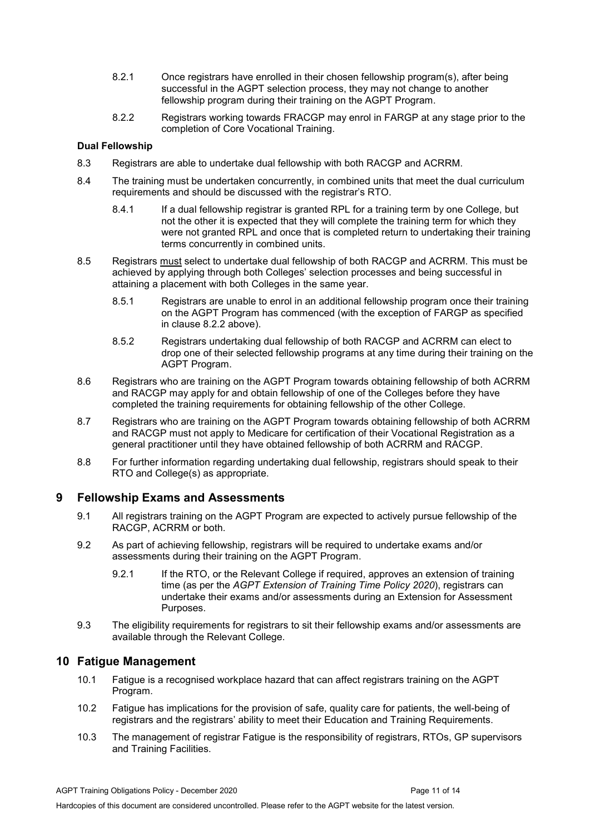- 8.2.1 Once registrars have enrolled in their chosen fellowship program(s), after being successful in the AGPT selection process, they may not change to another fellowship program during their training on the AGPT Program.
- 8.2.2 Registrars working towards FRACGP may enrol in FARGP at any stage prior to the completion of Core Vocational Training.

### **Dual Fellowship**

- 8.3 Registrars are able to undertake dual fellowship with both RACGP and ACRRM.
- 8.4 The training must be undertaken concurrently, in combined units that meet the dual curriculum requirements and should be discussed with the registrar's RTO.
	- 8.4.1 If a dual fellowship registrar is granted RPL for a training term by one College, but not the other it is expected that they will complete the training term for which they were not granted RPL and once that is completed return to undertaking their training terms concurrently in combined units.
- 8.5 Registrars must select to undertake dual fellowship of both RACGP and ACRRM. This must be achieved by applying through both Colleges' selection processes and being successful in attaining a placement with both Colleges in the same year.
	- 8.5.1 Registrars are unable to enrol in an additional fellowship program once their training on the AGPT Program has commenced (with the exception of FARGP as specified in clause 8.2.2 above).
	- 8.5.2 Registrars undertaking dual fellowship of both RACGP and ACRRM can elect to drop one of their selected fellowship programs at any time during their training on the AGPT Program.
- 8.6 Registrars who are training on the AGPT Program towards obtaining fellowship of both ACRRM and RACGP may apply for and obtain fellowship of one of the Colleges before they have completed the training requirements for obtaining fellowship of the other College.
- 8.7 Registrars who are training on the AGPT Program towards obtaining fellowship of both ACRRM and RACGP must not apply to Medicare for certification of their Vocational Registration as a general practitioner until they have obtained fellowship of both ACRRM and RACGP.
- 8.8 For further information regarding undertaking dual fellowship, registrars should speak to their RTO and College(s) as appropriate.

# <span id="page-10-0"></span>**9 Fellowship Exams and Assessments**

- 9.1 All registrars training on the AGPT Program are expected to actively pursue fellowship of the RACGP, ACRRM or both.
- 9.2 As part of achieving fellowship, registrars will be required to undertake exams and/or assessments during their training on the AGPT Program.
	- 9.2.1 If the RTO, or the Relevant College if required, approves an extension of training time (as per the *AGPT Extension of Training Time Policy 2020*), registrars can undertake their exams and/or assessments during an Extension for Assessment Purposes.
- 9.3 The eligibility requirements for registrars to sit their fellowship exams and/or assessments are available through the Relevant College.

## <span id="page-10-1"></span>**10 Fatigue Management**

- 10.1 Fatigue is a recognised workplace hazard that can affect registrars training on the AGPT Program.
- 10.2 Fatigue has implications for the provision of safe, quality care for patients, the well-being of registrars and the registrars' ability to meet their Education and Training Requirements.
- 10.3 The management of registrar Fatigue is the responsibility of registrars, RTOs, GP supervisors and Training Facilities.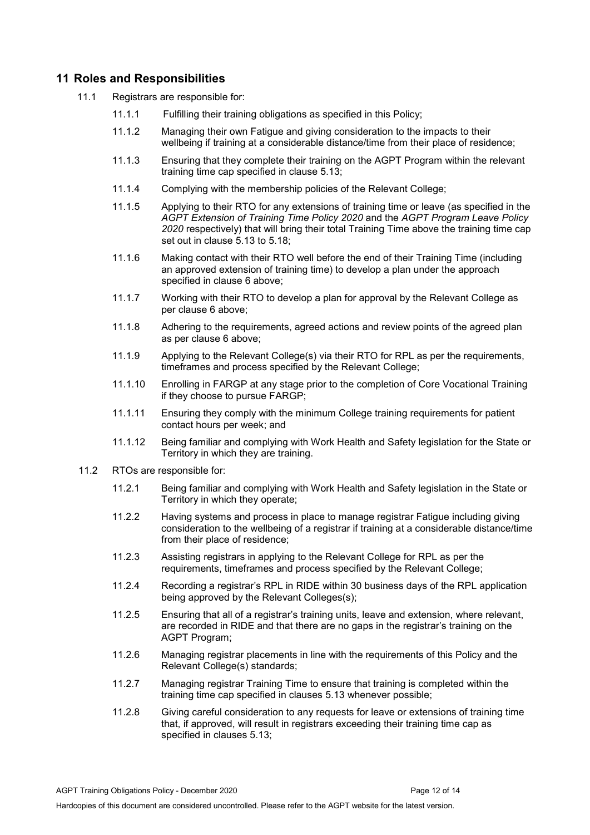# <span id="page-11-0"></span>**11 Roles and Responsibilities**

- 11.1 Registrars are responsible for:
	- 11.1.1 Fulfilling their training obligations as specified in this Policy;
	- 11.1.2 Managing their own Fatigue and giving consideration to the impacts to their wellbeing if training at a considerable distance/time from their place of residence;
	- 11.1.3 Ensuring that they complete their training on the AGPT Program within the relevant training time cap specified in clause 5.13;
	- 11.1.4 Complying with the membership policies of the Relevant College;
	- 11.1.5 Applying to their RTO for any extensions of training time or leave (as specified in the *AGPT Extension of Training Time Policy 2020* and the *AGPT Program Leave Policy 2020* respectively) that will bring their total Training Time above the training time cap set out in clause 5.13 to 5.18;
	- 11.1.6 Making contact with their RTO well before the end of their Training Time (including an approved extension of training time) to develop a plan under the approach specified in clause 6 above;
	- 11.1.7 Working with their RTO to develop a plan for approval by the Relevant College as per clause 6 above;
	- 11.1.8 Adhering to the requirements, agreed actions and review points of the agreed plan as per clause 6 above;
	- 11.1.9 Applying to the Relevant College(s) via their RTO for RPL as per the requirements, timeframes and process specified by the Relevant College;
	- 11.1.10 Enrolling in FARGP at any stage prior to the completion of Core Vocational Training if they choose to pursue FARGP;
	- 11.1.11 Ensuring they comply with the minimum College training requirements for patient contact hours per week; and
	- 11.1.12 Being familiar and complying with Work Health and Safety legislation for the State or Territory in which they are training.
- 11.2 RTOs are responsible for:
	- 11.2.1 Being familiar and complying with Work Health and Safety legislation in the State or Territory in which they operate;
	- 11.2.2 Having systems and process in place to manage registrar Fatigue including giving consideration to the wellbeing of a registrar if training at a considerable distance/time from their place of residence;
	- 11.2.3 Assisting registrars in applying to the Relevant College for RPL as per the requirements, timeframes and process specified by the Relevant College;
	- 11.2.4 Recording a registrar's RPL in RIDE within 30 business days of the RPL application being approved by the Relevant Colleges(s);
	- 11.2.5 Ensuring that all of a registrar's training units, leave and extension, where relevant, are recorded in RIDE and that there are no gaps in the registrar's training on the AGPT Program;
	- 11.2.6 Managing registrar placements in line with the requirements of this Policy and the Relevant College(s) standards;
	- 11.2.7 Managing registrar Training Time to ensure that training is completed within the training time cap specified in clauses 5.13 whenever possible;
	- 11.2.8 Giving careful consideration to any requests for leave or extensions of training time that, if approved, will result in registrars exceeding their training time cap as specified in clauses 5.13;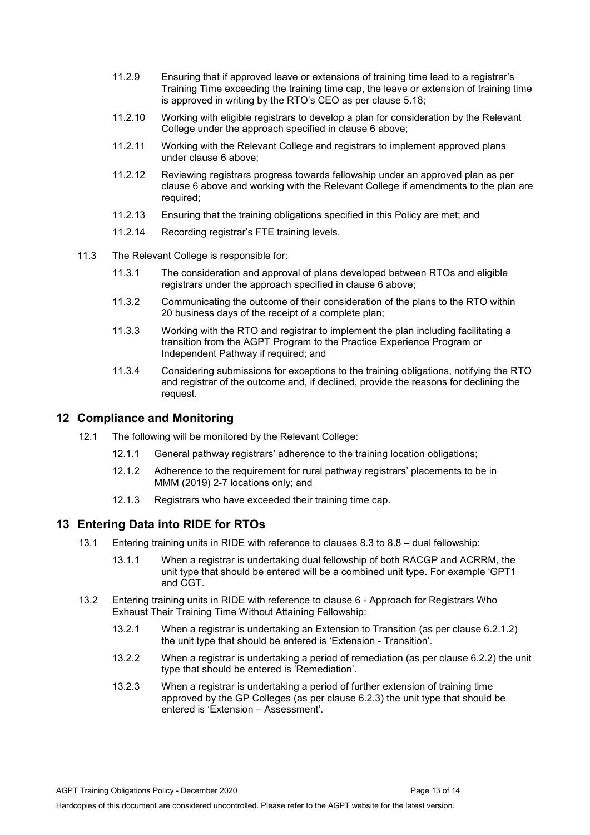- 11.2.9 Ensuring that if approved leave or extensions of training time lead to a registrar's Training Time exceeding the training time cap, the leave or extension of training time is approved in writing by the RTO's CEO as per clause 5.18;
- 11.2.10 Working with eligible registrars to develop a plan for consideration by the Relevant College under the approach specified in clause 6 above;
- 11.2.11 Working with the Relevant College and registrars to implement approved plans under clause 6 above;
- 11.2.12 Reviewing registrars progress towards fellowship under an approved plan as per clause 6 above and working with the Relevant College if amendments to the plan are required;
- 11.2.13 Ensuring that the training obligations specified in this Policy are met; and
- 11.2.14 Recording registrar's FTE training levels.
- 11.3 The Relevant College is responsible for:
	- 11.3.1 The consideration and approval of plans developed between RTOs and eligible registrars under the approach specified in clause 6 above;
	- 11.3.2 Communicating the outcome of their consideration of the plans to the RTO within 20 business days of the receipt of a complete plan;
	- 11.3.3 Working with the RTO and registrar to implement the plan including facilitating a transition from the AGPT Program to the Practice Experience Program or Independent Pathway if required; and
	- 11.3.4 Considering submissions for exceptions to the training obligations, notifying the RTO and registrar of the outcome and, if declined, provide the reasons for declining the request.

# <span id="page-12-0"></span>**12 Compliance and Monitoring**

- 12.1 The following will be monitored by the Relevant College:
	- 12.1.1 General pathway registrars' adherence to the training location obligations;
	- 12.1.2 Adherence to the requirement for rural pathway registrars' placements to be in MMM (2019) 2-7 locations only; and
	- 12.1.3 Registrars who have exceeded their training time cap.

## <span id="page-12-1"></span>**13 Entering Data into RIDE for RTOs**

- 13.1 Entering training units in RIDE with reference to clauses 8.3 to 8.8 dual fellowship:
	- 13.1.1 When a registrar is undertaking dual fellowship of both RACGP and ACRRM, the unit type that should be entered will be a combined unit type. For example 'GPT1 and CGT.
- 13.2 Entering training units in RIDE with reference to clause 6 Approach for Registrars Who Exhaust Their Training Time Without Attaining Fellowship:
	- 13.2.1 When a registrar is undertaking an Extension to Transition (as per clause 6.2.1.2) the unit type that should be entered is 'Extension - Transition'.
	- 13.2.2 When a registrar is undertaking a period of remediation (as per clause 6.2.2) the unit type that should be entered is 'Remediation'.
	- 13.2.3 When a registrar is undertaking a period of further extension of training time approved by the GP Colleges (as per clause 6.2.3) the unit type that should be entered is 'Extension – Assessment'.